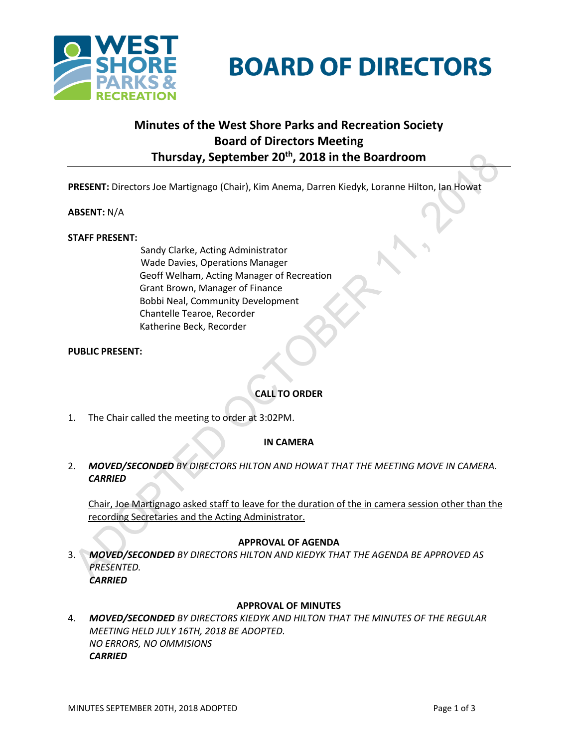

# **BOARD OF DIRECTORS**

## **Minutes of the West Shore Parks and Recreation Society Board of Directors Meeting Thursday, September 20th , 2018 in the Boardroom**

**PRESENT:** Directors Joe Martignago (Chair), Kim Anema, Darren Kiedyk, Loranne Hilton, Ian Howat

#### **ABSENT:** N/A

#### **STAFF PRESENT:**

Sandy Clarke, Acting Administrator Wade Davies, Operations Manager Geoff Welham, Acting Manager of Recreation Grant Brown, Manager of Finance Bobbi Neal, Community Development Chantelle Tearoe, Recorder Katherine Beck, Recorder

**PUBLIC PRESENT:** 

### **CALL TO ORDER**

1. The Chair called the meeting to order at 3:02PM.

#### **IN CAMERA**

2. *MOVED/SECONDED BY DIRECTORS HILTON AND HOWAT THAT THE MEETING MOVE IN CAMERA. CARRIED*

Chair, Joe Martignago asked staff to leave for the duration of the in camera session other than the recording Secretaries and the Acting Administrator.

#### **APPROVAL OF AGENDA**

3. *MOVED/SECONDED BY DIRECTORS HILTON AND KIEDYK THAT THE AGENDA BE APPROVED AS PRESENTED. CARRIED*

#### **APPROVAL OF MINUTES**

4. *MOVED/SECONDED BY DIRECTORS KIEDYK AND HILTON THAT THE MINUTES OF THE REGULAR MEETING HELD JULY 16TH, 2018 BE ADOPTED. NO ERRORS, NO OMMISIONS CARRIED*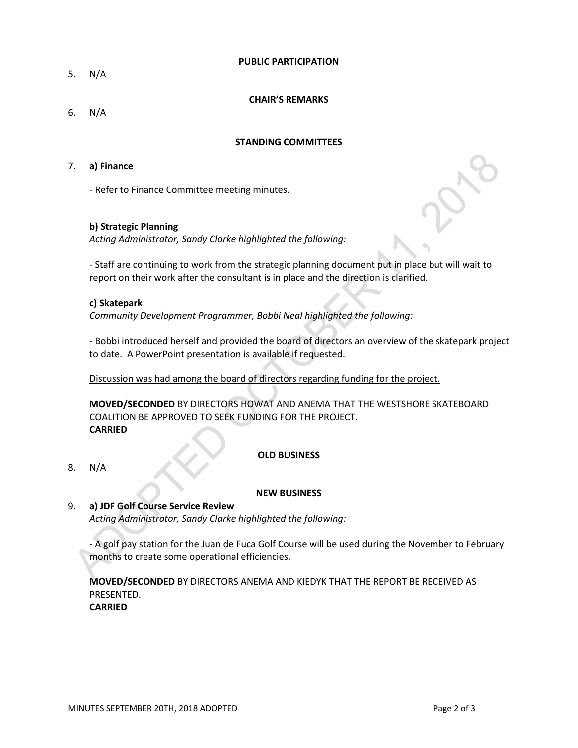#### **PUBLIC PARTICIPATION**

5. N/A

#### **CHAIR'S REMARKS**

6. N/A

#### **STANDING COMMITTEES**

#### 7. **a) Finance**

- Refer to Finance Committee meeting minutes.

#### **b) Strategic Planning**

*Acting Administrator, Sandy Clarke highlighted the following:*

- Staff are continuing to work from the strategic planning document put in place but will wait to report on their work after the consultant is in place and the direction is clarified.

#### **c) Skatepark**

*Community Development Programmer, Bobbi Neal highlighted the following:*

- Bobbi introduced herself and provided the board of directors an overview of the skatepark project to date. A PowerPoint presentation is available if requested.

Discussion was had among the board of directors regarding funding for the project.

**MOVED/SECONDED** BY DIRECTORS HOWAT AND ANEMA THAT THE WESTSHORE SKATEBOARD COALITION BE APPROVED TO SEEK FUNDING FOR THE PROJECT. **CARRIED**

#### **OLD BUSINESS**

8. N/A

#### **NEW BUSINESS**

#### 9. **a) JDF Golf Course Service Review**

*Acting Administrator, Sandy Clarke highlighted the following:*

- A golf pay station for the Juan de Fuca Golf Course will be used during the November to February months to create some operational efficiencies.

**MOVED/SECONDED** BY DIRECTORS ANEMA AND KIEDYK THAT THE REPORT BE RECEIVED AS PRESENTED. **CARRIED**